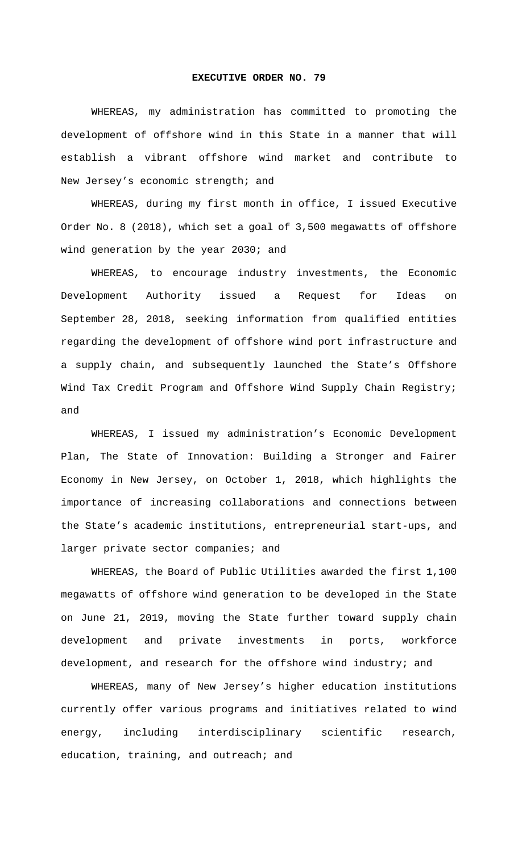## **EXECUTIVE ORDER NO. 79**

WHEREAS, my administration has committed to promoting the development of offshore wind in this State in a manner that will establish a vibrant offshore wind market and contribute to New Jersey's economic strength; and

WHEREAS, during my first month in office, I issued Executive Order No. 8 (2018), which set a goal of 3,500 megawatts of offshore wind generation by the year 2030; and

WHEREAS, to encourage industry investments, the Economic Development Authority issued a Request for Ideas on September 28, 2018, seeking information from qualified entities regarding the development of offshore wind port infrastructure and a supply chain, and subsequently launched the State's Offshore Wind Tax Credit Program and Offshore Wind Supply Chain Registry; and

WHEREAS, I issued my administration's Economic Development Plan, The State of Innovation: Building a Stronger and Fairer Economy in New Jersey, on October 1, 2018, which highlights the importance of increasing collaborations and connections between the State's academic institutions, entrepreneurial start-ups, and larger private sector companies; and

WHEREAS, the Board of Public Utilities awarded the first 1,100 megawatts of offshore wind generation to be developed in the State on June 21, 2019, moving the State further toward supply chain development and private investments in ports, workforce development, and research for the offshore wind industry; and

WHEREAS, many of New Jersey's higher education institutions currently offer various programs and initiatives related to wind energy, including interdisciplinary scientific research, education, training, and outreach; and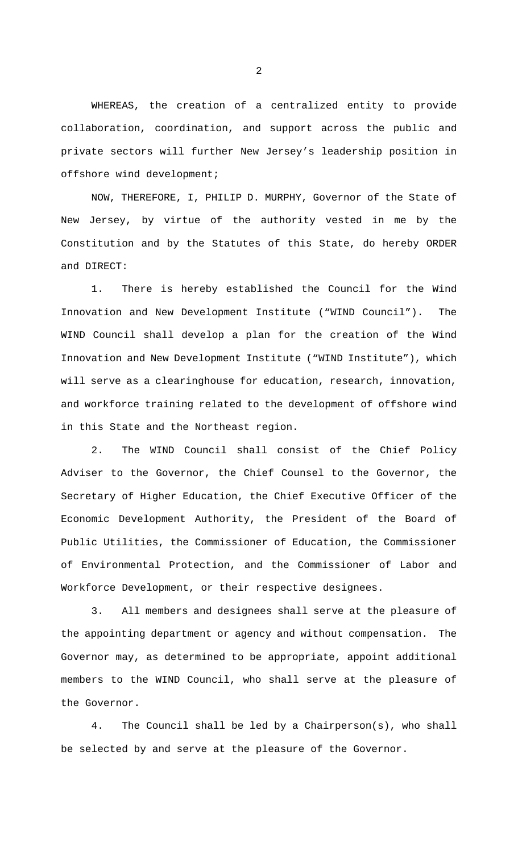WHEREAS, the creation of a centralized entity to provide collaboration, coordination, and support across the public and private sectors will further New Jersey's leadership position in offshore wind development;

NOW, THEREFORE, I, PHILIP D. MURPHY, Governor of the State of New Jersey, by virtue of the authority vested in me by the Constitution and by the Statutes of this State, do hereby ORDER and DIRECT:

1. There is hereby established the Council for the Wind Innovation and New Development Institute ("WIND Council"). The WIND Council shall develop a plan for the creation of the Wind Innovation and New Development Institute ("WIND Institute"), which will serve as a clearinghouse for education, research, innovation, and workforce training related to the development of offshore wind in this State and the Northeast region.

2. The WIND Council shall consist of the Chief Policy Adviser to the Governor, the Chief Counsel to the Governor, the Secretary of Higher Education, the Chief Executive Officer of the Economic Development Authority, the President of the Board of Public Utilities, the Commissioner of Education, the Commissioner of Environmental Protection, and the Commissioner of Labor and Workforce Development, or their respective designees.

3. All members and designees shall serve at the pleasure of the appointing department or agency and without compensation. The Governor may, as determined to be appropriate, appoint additional members to the WIND Council, who shall serve at the pleasure of the Governor.

4. The Council shall be led by a Chairperson(s), who shall be selected by and serve at the pleasure of the Governor.

2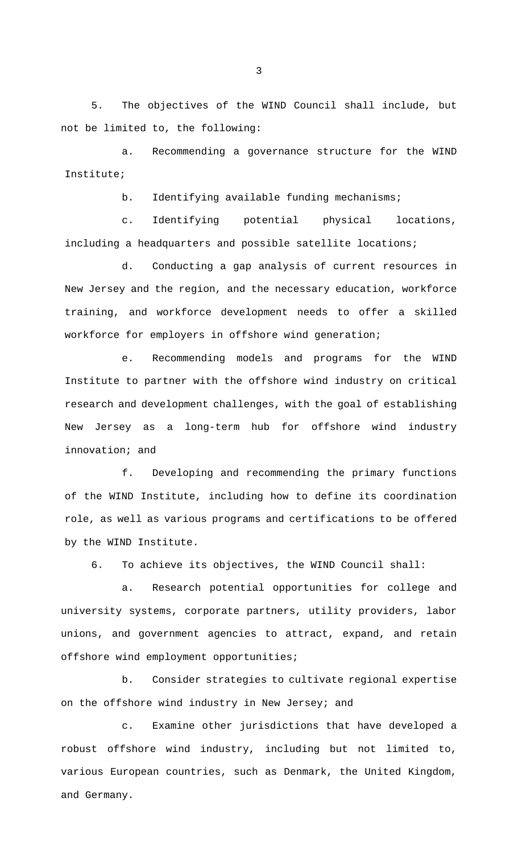5. The objectives of the WIND Council shall include, but not be limited to, the following:

a. Recommending a governance structure for the WIND Institute;

b. Identifying available funding mechanisms;

c. Identifying potential physical locations, including a headquarters and possible satellite locations;

d. Conducting a gap analysis of current resources in New Jersey and the region, and the necessary education, workforce training, and workforce development needs to offer a skilled workforce for employers in offshore wind generation;

e. Recommending models and programs for the WIND Institute to partner with the offshore wind industry on critical research and development challenges, with the goal of establishing New Jersey as a long-term hub for offshore wind industry innovation; and

f. Developing and recommending the primary functions of the WIND Institute, including how to define its coordination role, as well as various programs and certifications to be offered by the WIND Institute.

6. To achieve its objectives, the WIND Council shall:

a. Research potential opportunities for college and university systems, corporate partners, utility providers, labor unions, and government agencies to attract, expand, and retain offshore wind employment opportunities;

b. Consider strategies to cultivate regional expertise on the offshore wind industry in New Jersey; and

c. Examine other jurisdictions that have developed a robust offshore wind industry, including but not limited to, various European countries, such as Denmark, the United Kingdom, and Germany.

3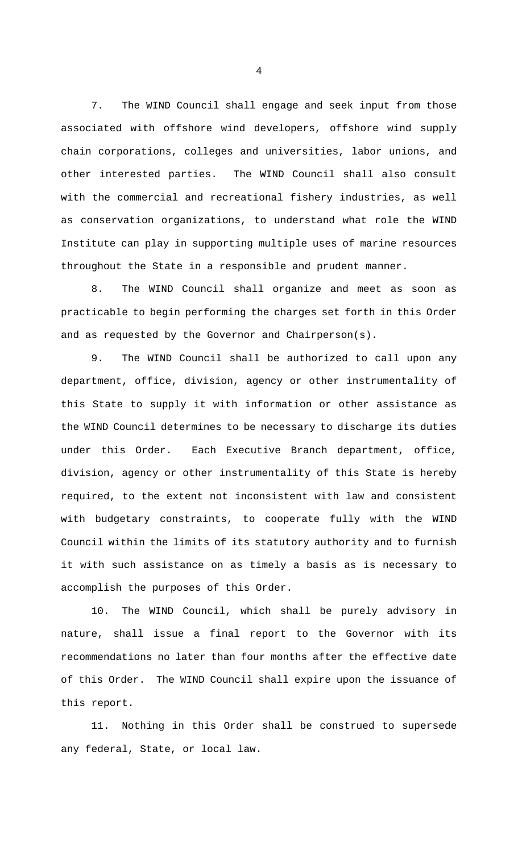7. The WIND Council shall engage and seek input from those associated with offshore wind developers, offshore wind supply chain corporations, colleges and universities, labor unions, and other interested parties. The WIND Council shall also consult with the commercial and recreational fishery industries, as well as conservation organizations, to understand what role the WIND Institute can play in supporting multiple uses of marine resources throughout the State in a responsible and prudent manner.

8. The WIND Council shall organize and meet as soon as practicable to begin performing the charges set forth in this Order and as requested by the Governor and Chairperson(s).

9. The WIND Council shall be authorized to call upon any department, office, division, agency or other instrumentality of this State to supply it with information or other assistance as the WIND Council determines to be necessary to discharge its duties under this Order. Each Executive Branch department, office, division, agency or other instrumentality of this State is hereby required, to the extent not inconsistent with law and consistent with budgetary constraints, to cooperate fully with the WIND Council within the limits of its statutory authority and to furnish it with such assistance on as timely a basis as is necessary to accomplish the purposes of this Order.

10. The WIND Council, which shall be purely advisory in nature, shall issue a final report to the Governor with its recommendations no later than four months after the effective date of this Order. The WIND Council shall expire upon the issuance of this report.

11. Nothing in this Order shall be construed to supersede any federal, State, or local law.

4